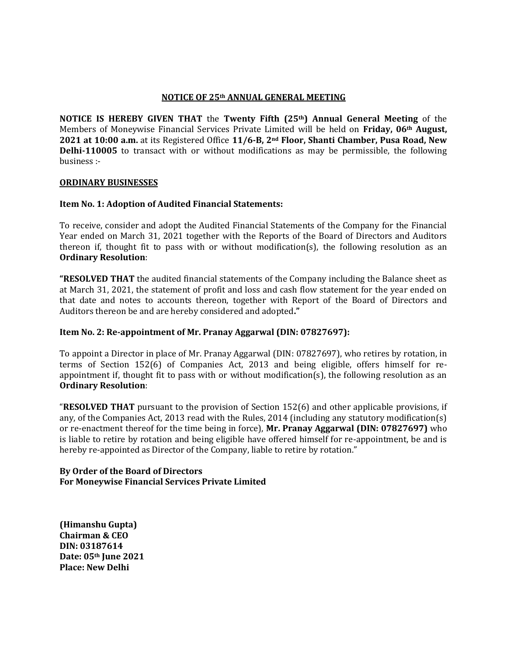### **NOTICE OF 25th ANNUAL GENERAL MEETING**

**NOTICE IS HEREBY GIVEN THAT** the **Twenty Fifth (25th) Annual General Meeting** of the Members of Moneywise Financial Services Private Limited will be held on **Friday, 06th August, 2021 at 10:00 a.m.** at its Registered Office **11/6-B, 2nd Floor, Shanti Chamber, Pusa Road, New Delhi-110005** to transact with or without modifications as may be permissible, the following business :-

### **ORDINARY BUSINESSES**

## **Item No. 1: Adoption of Audited Financial Statements:**

To receive, consider and adopt the Audited Financial Statements of the Company for the Financial Year ended on March 31, 2021 together with the Reports of the Board of Directors and Auditors thereon if, thought fit to pass with or without modification(s), the following resolution as an **Ordinary Resolution**:

**"RESOLVED THAT** the audited financial statements of the Company including the Balance sheet as at March 31, 2021, the statement of profit and loss and cash flow statement for the year ended on that date and notes to accounts thereon, together with Report of the Board of Directors and Auditors thereon be and are hereby considered and adopted**."**

# **Item No. 2: Re-appointment of Mr. Pranay Aggarwal (DIN: [07827697\)](https://www.mca.gov.in/mcafoportal/companyLLPMasterData.do):**

To appoint a Director in place of Mr. Pranay Aggarwal (DIN: [07827697\)](https://www.mca.gov.in/mcafoportal/companyLLPMasterData.do), who retires by rotation, in terms of Section 152(6) of Companies Act, 2013 and being eligible, offers himself for reappointment if, thought fit to pass with or without modification(s), the following resolution as an **Ordinary Resolution**:

"**RESOLVED THAT** pursuant to the provision of Section 152(6) and other applicable provisions, if any, of the Companies Act, 2013 read with the Rules, 2014 (including any statutory modification(s) or re-enactment thereof for the time being in force), **Mr. Pranay Aggarwal (DIN: [07827697\)](https://www.mca.gov.in/mcafoportal/companyLLPMasterData.do)** who is liable to retire by rotation and being eligible have offered himself for re-appointment, be and is hereby re-appointed as Director of the Company, liable to retire by rotation."

## **By Order of the Board of Directors For Moneywise Financial Services Private Limited**

**(Himanshu Gupta) Chairman & CEO DIN: 03187614 Date: 05th June 2021 Place: New Delhi**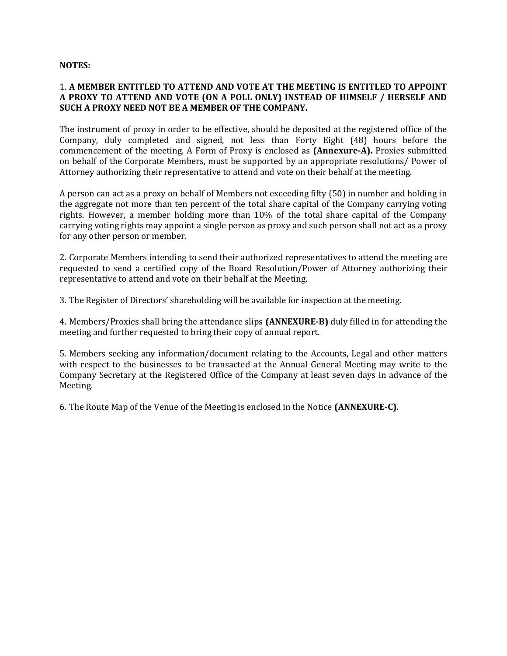#### **NOTES:**

# 1. **A MEMBER ENTITLED TO ATTEND AND VOTE AT THE MEETING IS ENTITLED TO APPOINT A PROXY TO ATTEND AND VOTE (ON A POLL ONLY) INSTEAD OF HIMSELF / HERSELF AND SUCH A PROXY NEED NOT BE A MEMBER OF THE COMPANY.**

The instrument of proxy in order to be effective, should be deposited at the registered office of the Company, duly completed and signed, not less than Forty Eight (48) hours before the commencement of the meeting. A Form of Proxy is enclosed as **(Annexure-A).** Proxies submitted on behalf of the Corporate Members, must be supported by an appropriate resolutions/ Power of Attorney authorizing their representative to attend and vote on their behalf at the meeting.

A person can act as a proxy on behalf of Members not exceeding fifty (50) in number and holding in the aggregate not more than ten percent of the total share capital of the Company carrying voting rights. However, a member holding more than 10% of the total share capital of the Company carrying voting rights may appoint a single person as proxy and such person shall not act as a proxy for any other person or member.

2. Corporate Members intending to send their authorized representatives to attend the meeting are requested to send a certified copy of the Board Resolution/Power of Attorney authorizing their representative to attend and vote on their behalf at the Meeting.

3. The Register of Directors' shareholding will be available for inspection at the meeting.

4. Members/Proxies shall bring the attendance slips **(ANNEXURE-B)** duly filled in for attending the meeting and further requested to bring their copy of annual report.

5. Members seeking any information/document relating to the Accounts, Legal and other matters with respect to the businesses to be transacted at the Annual General Meeting may write to the Company Secretary at the Registered Office of the Company at least seven days in advance of the Meeting.

6. The Route Map of the Venue of the Meeting is enclosed in the Notice **(ANNEXURE-C)**.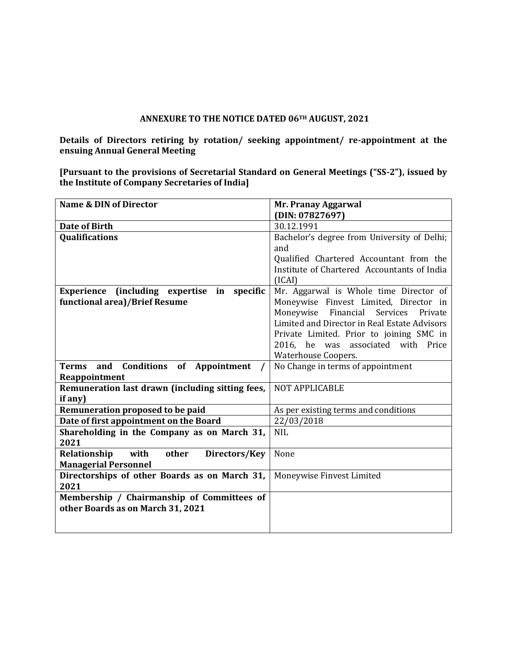## **ANNEXURE TO THE NOTICE DATED 06TH AUGUST, 2021**

**Details of Directors retiring by rotation/ seeking appointment/ re-appointment at the ensuing Annual General Meeting**

**[Pursuant to the provisions of Secretarial Standard on General Meetings ("SS-2"), issued by the Institute of Company Secretaries of India]**

| <b>Name &amp; DIN of Director</b>                | Mr. Pranay Aggarwal                          |  |
|--------------------------------------------------|----------------------------------------------|--|
|                                                  | (DIN: 07827697)                              |  |
| <b>Date of Birth</b>                             | 30.12.1991                                   |  |
| <b>Qualifications</b>                            | Bachelor's degree from University of Delhi;  |  |
|                                                  | and                                          |  |
|                                                  | Qualified Chartered Accountant from the      |  |
|                                                  | Institute of Chartered Accountants of India  |  |
|                                                  | (ICAI)                                       |  |
| Experience (including expertise in<br>specific   | Mr. Aggarwal is Whole time Director of       |  |
| functional area)/Brief Resume                    | Moneywise Finvest Limited, Director in       |  |
|                                                  | Moneywise Financial<br>Services<br>Private   |  |
|                                                  | Limited and Director in Real Estate Advisors |  |
|                                                  | Private Limited. Prior to joining SMC in     |  |
|                                                  | 2016, he was associated with Price           |  |
|                                                  | <b>Waterhouse Coopers.</b>                   |  |
| Terms and Conditions of Appointment              | No Change in terms of appointment            |  |
| Reappointment                                    |                                              |  |
| Remuneration last drawn (including sitting fees, | NOT APPLICABLE                               |  |
| if any)                                          |                                              |  |
| Remuneration proposed to be paid                 | As per existing terms and conditions         |  |
| Date of first appointment on the Board           | 22/03/2018                                   |  |
| Shareholding in the Company as on March 31,      | <b>NIL</b>                                   |  |
| 2021                                             |                                              |  |
| Relationship<br>with<br>other<br>Directors/Key   | None                                         |  |
| <b>Managerial Personnel</b>                      |                                              |  |
| Directorships of other Boards as on March 31,    | Moneywise Finvest Limited                    |  |
| 2021                                             |                                              |  |
| Membership / Chairmanship of Committees of       |                                              |  |
| other Boards as on March 31, 2021                |                                              |  |
|                                                  |                                              |  |
|                                                  |                                              |  |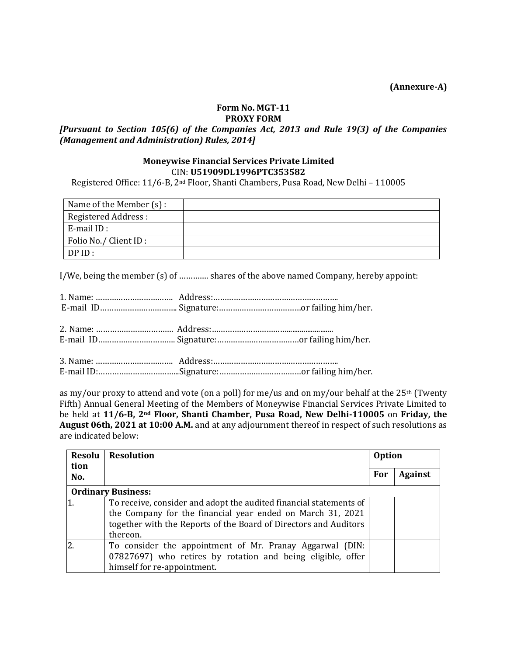**(Annexure-A)**

#### **Form No. MGT-11 PROXY FORM**

# *[Pursuant to Section 105(6) of the Companies Act, 2013 and Rule 19(3) of the Companies (Management and Administration) Rules, 2014]*

# **Moneywise Financial Services Private Limited** CIN: **U51909DL1996PTC353582**

Registered Office: 11/6-B, 2nd Floor, Shanti Chambers, Pusa Road, New Delhi – 110005

| Name of the Member (s) : |  |
|--------------------------|--|
| Registered Address:      |  |
| $E$ -mail ID:            |  |
| Folio No./ Client ID :   |  |
| DPID:                    |  |

I/We, being the member (s) of …………. shares of the above named Company, hereby appoint:

as my/our proxy to attend and vote (on a poll) for me/us and on my/our behalf at the 25<sup>th</sup> (Twenty Fifth) Annual General Meeting of the Members of Moneywise Financial Services Private Limited to be held at **11/6-B, 2nd Floor, Shanti Chamber, Pusa Road, New Delhi-110005** on **Friday, the August 06th, 2021 at 10:00 A.M.** and at any adjournment thereof in respect of such resolutions as are indicated below:

| <b>Resolu</b><br>tion     | <b>Resolution</b>                                                  |     | <b>Option</b>  |  |
|---------------------------|--------------------------------------------------------------------|-----|----------------|--|
| No.                       |                                                                    | For | <b>Against</b> |  |
| <b>Ordinary Business:</b> |                                                                    |     |                |  |
|                           | To receive, consider and adopt the audited financial statements of |     |                |  |
|                           | the Company for the financial year ended on March 31, 2021         |     |                |  |
|                           | together with the Reports of the Board of Directors and Auditors   |     |                |  |
|                           | thereon.                                                           |     |                |  |
|                           | To consider the appointment of Mr. Pranay Aggarwal (DIN:           |     |                |  |
|                           | 07827697) who retires by rotation and being eligible, offer        |     |                |  |
|                           | himself for re-appointment.                                        |     |                |  |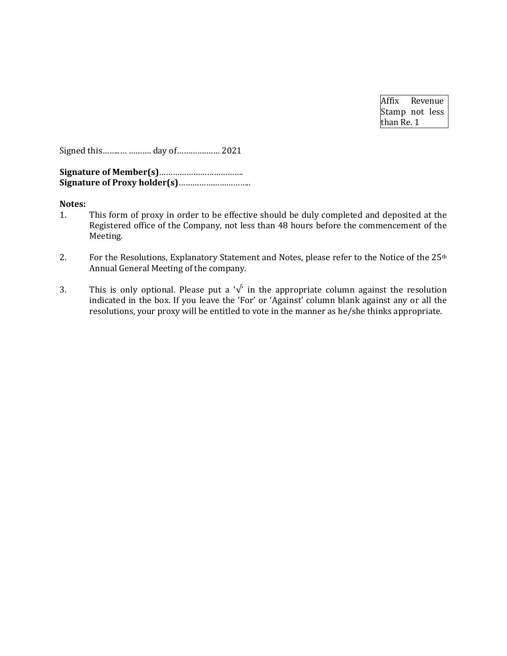Affix Revenue Stamp not less than Re. 1

Signed this……..… ………. day of………….…… 2021

**Signature of Member(s)**………………………………. **Signature of Proxy holder(s)**…………………………..

#### **Notes:**

- 1. This form of proxy in order to be effective should be duly completed and deposited at the Registered office of the Company, not less than 48 hours before the commencement of the Meeting.
- 2. For the Resolutions, Explanatory Statement and Notes, please refer to the Notice of the 25<sup>th</sup> Annual General Meeting of the company.
- 3. This is only optional. Please put a ' $\sqrt{ }$ ' in the appropriate column against the resolution indicated in the box. If you leave the 'For' or 'Against' column blank against any or all the resolutions, your proxy will be entitled to vote in the manner as he/she thinks appropriate.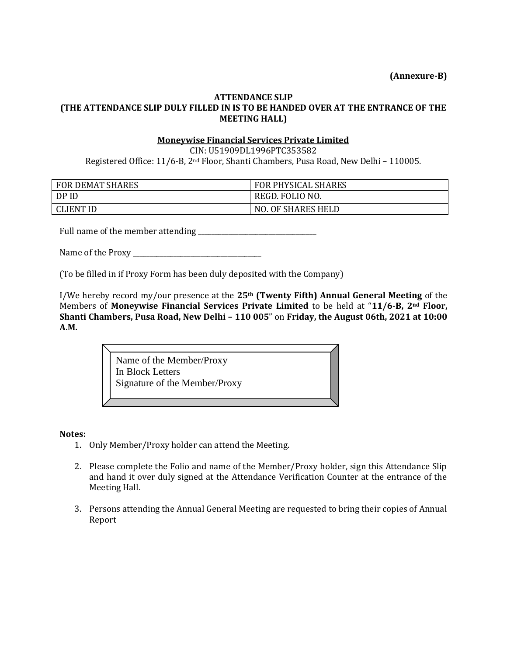**(Annexure-B)**

# **ATTENDANCE SLIP (THE ATTENDANCE SLIP DULY FILLED IN IS TO BE HANDED OVER AT THE ENTRANCE OF THE MEETING HALL)**

## **Moneywise Financial Services Private Limited**

CIN: U51909DL1996PTC353582 Registered Office: 11/6-B, 2nd Floor, Shanti Chambers, Pusa Road, New Delhi – 110005.

| <b>FOR DEMAT SHARES</b> | <b>FOR PHYSICAL SHARES</b> |
|-------------------------|----------------------------|
| DP ID                   | REGD. FOLIO NO.            |
| <b>CLIENT ID</b>        | <b>NO. OF SHARES HELD</b>  |

Full name of the member attending \_\_\_\_\_\_\_\_\_\_\_\_\_\_\_\_\_\_\_\_\_\_\_\_\_\_\_\_\_\_\_\_\_\_\_

Name of the Proxy \_\_\_\_\_\_\_\_\_\_\_\_\_\_\_\_\_\_\_\_\_\_\_\_\_\_\_\_\_\_\_\_\_\_\_\_\_\_

(To be filled in if Proxy Form has been duly deposited with the Company)

I/We hereby record my/our presence at the **25th (Twenty Fifth) Annual General Meeting** of the Members of **Moneywise Financial Services Private Limited** to be held at "**11/6-B, 2nd Floor, Shanti Chambers, Pusa Road, New Delhi – 110 005**" on **Friday, the August 06th, 2021 at 10:00 A.M.**

> Name of the Member/Proxy In Block Letters Signature of the Member/Proxy

### **Notes:**

- 1. Only Member/Proxy holder can attend the Meeting.
- 2. Please complete the Folio and name of the Member/Proxy holder, sign this Attendance Slip and hand it over duly signed at the Attendance Verification Counter at the entrance of the Meeting Hall.
- 3. Persons attending the Annual General Meeting are requested to bring their copies of Annual Report